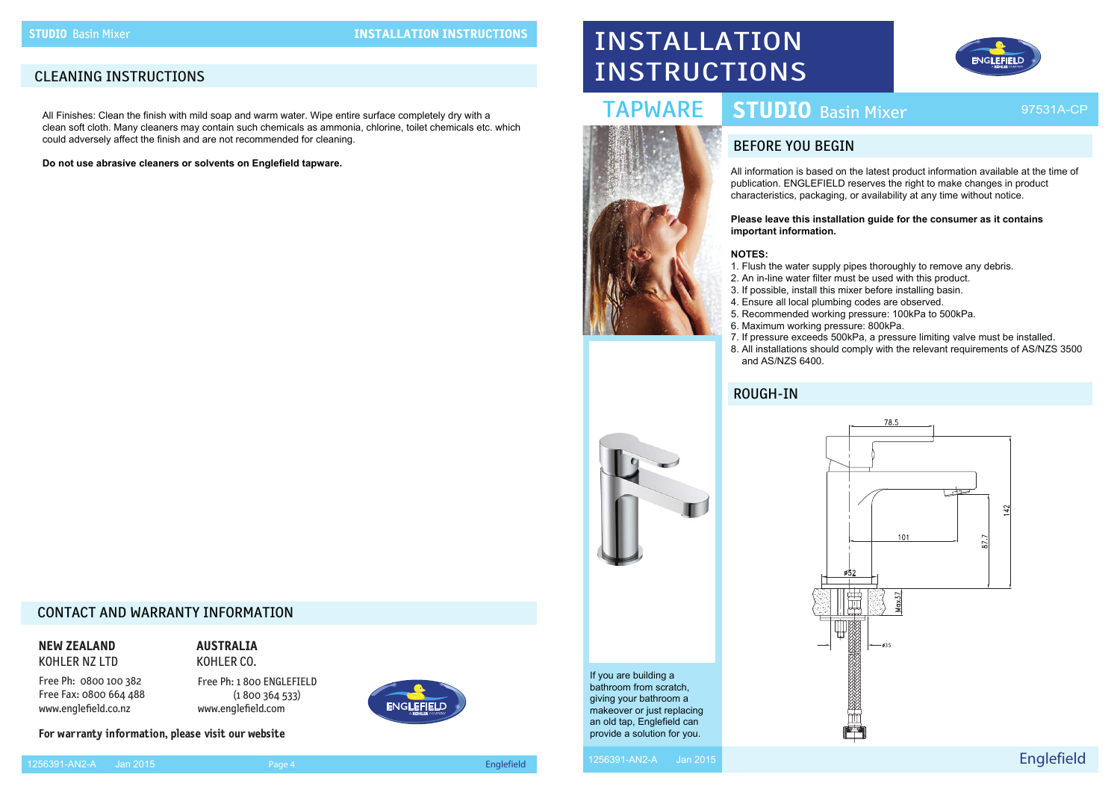### BEFORE YOU BEGIN



# INSTALLATION INSTRUCTIONS

## TAPWARE

Englefield



If you are building a bathroom from scratch, giving your bathroom a makeover or just replacing an old tap, Englefield can provide a solution for you.

All information is based on the latest product information available at the time of publication. ENGLEFIELD reserves the right to make changes in product characteristics, packaging, or availability at any time without notice.

### **Please leave this installation guide for the consumer as it contains**

**important information.**

### **NOTES:**

- 1. Flush the water supply pipes thoroughly to remove any debris.
	-
- 8. All installations should comply with the relevant requirements of AS/NZS 3500
- 
- 2. An in-line water filter must be used with this product.
- 3. If possible, install this mixer before installing basin.
- 4. Ensure all local plumbing codes are observed.
- 5. Recommended working pressure: 100kPa to 500kPa.
- 6. Maximum working pressure: 800kPa.
- 7. If pressure exceeds 500kPa, a pressure limiting valve must be installed.
- and AS/NZS 6400.

### ROUGH-IN

### CONTACT AND WARRANTY INFORMATION

**NEW ZEALAND**  KOHLER NZ LTD

Free Ph: 0800 100 382 Free Fax: 0800 664 488 www.englefield.co.nz

**AUSTRALIA** 

KOHLER CO. Free Ph: 1 800 ENGLEFIELD

 (1 800 364 533) www.englefield.com



1256391-AN2-A Jan 2015 Page 4 Englefield







### CLEANING INSTRUCTIONS

All Finishes: Clean the finish with mild soap and warm water. Wipe entire surface completely dry with a clean soft cloth. Many cleaners may contain such chemicals as ammonia, chlorine, toilet chemicals etc. which could adversely affect the finish and are not recommended for cleaning.

**Do not use abrasive cleaners or solvents on Englefield tapware.**